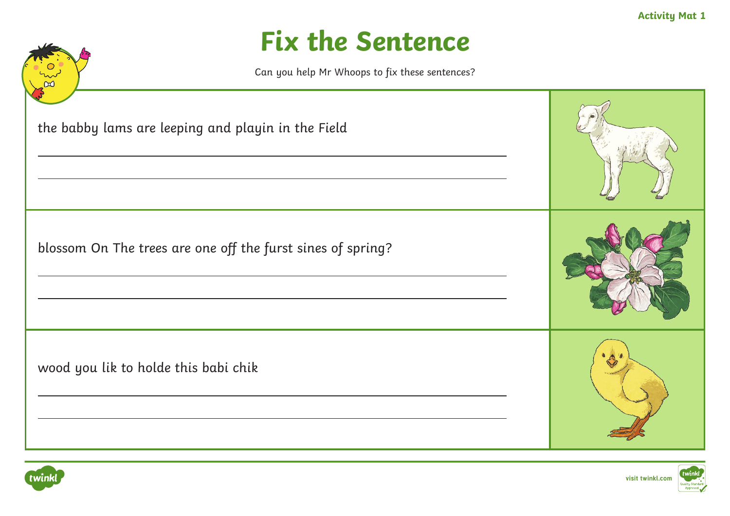**Activity Mat 1**

#### **Fix the Sentence**





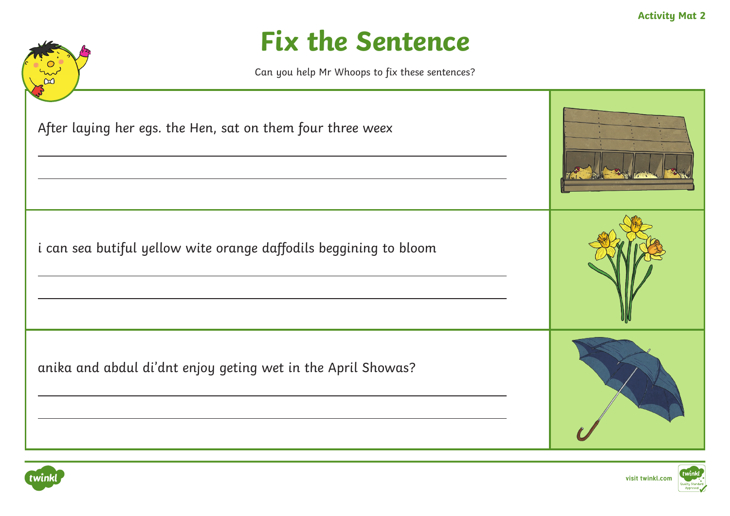



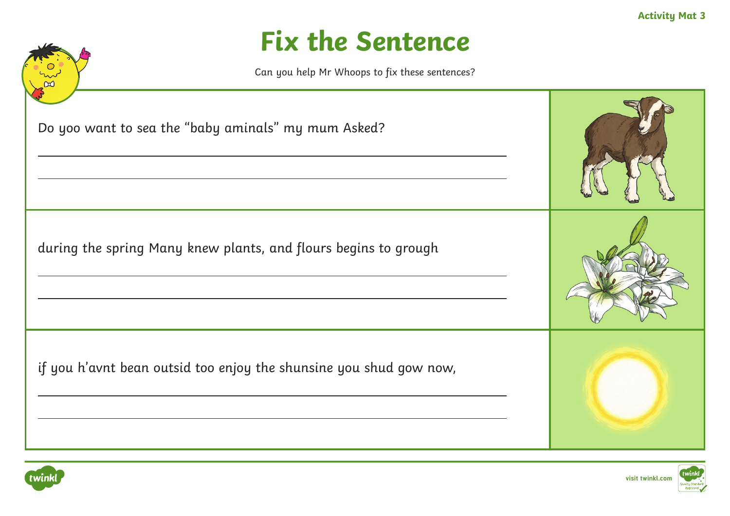



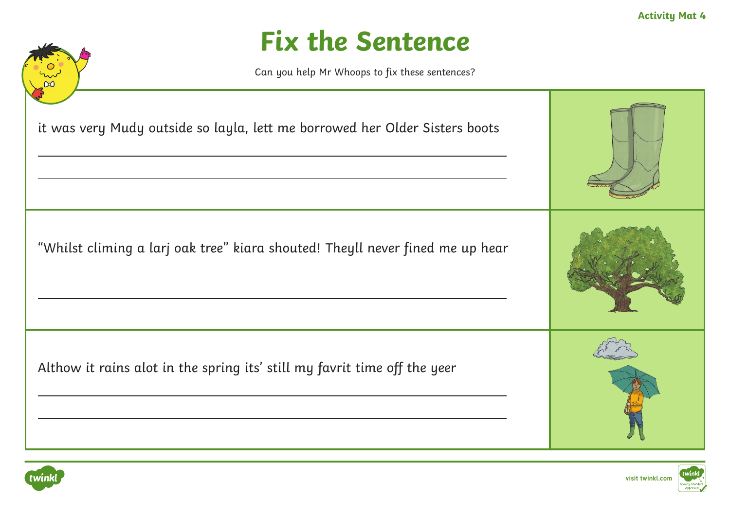



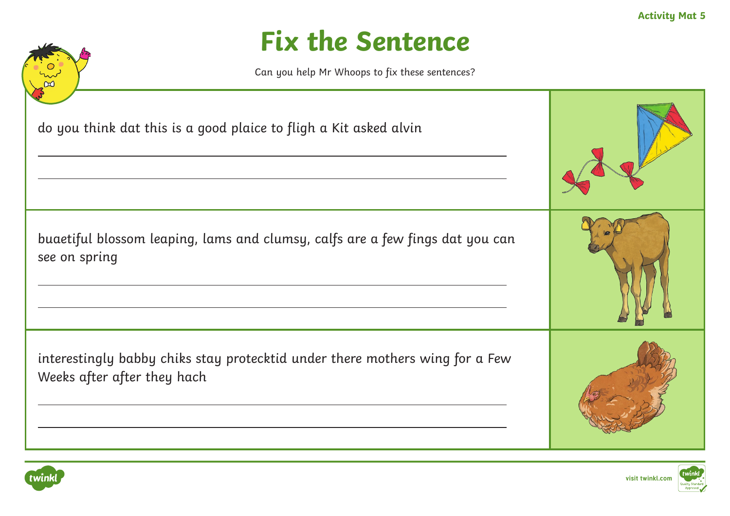